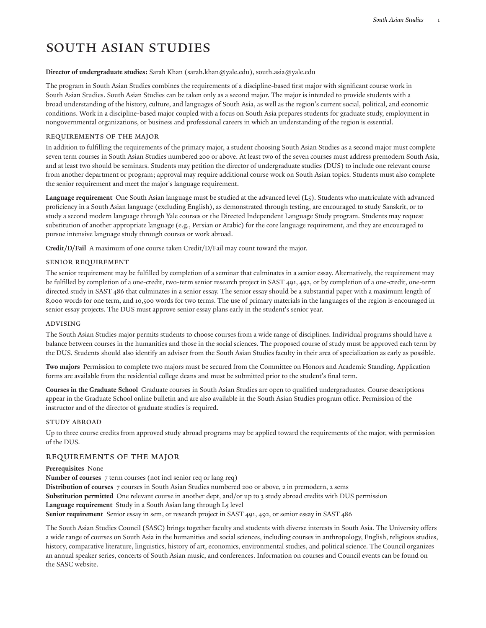# South Asian Studies

## **Director of undergraduate studies:** [Sarah](mailto:sarah.khan@yale.edu) Khan [\(sarah.khan@yale.edu](sarah.khan@yale.edu)), [south.asia@yale.edu](https://southasia.macmillan.yale.edu/)

The program in South Asian Studies combines the requirements of a discipline-based first major with significant course work in South Asian Studies. South Asian Studies can be taken only as a second major. The major is intended to provide students with a broad understanding of the history, culture, and languages of South Asia, as well as the region's current social, political, and economic conditions. Work in a discipline-based major coupled with a focus on South Asia prepares students for graduate study, employment in nongovernmental organizations, or business and professional careers in which an understanding of the region is essential.

## Requirements of the Major

In addition to fulfilling the requirements of the primary major, a student choosing South Asian Studies as a second major must complete seven term courses in South Asian Studies numbered 200 or above. At least two of the seven courses must address premodern South Asia, and at least two should be seminars. Students may petition the director of undergraduate studies (DUS) to include one relevant course from another department or program; approval may require additional course work on South Asian topics. Students must also complete the senior requirement and meet the major's language requirement.

**Language requirement** One South Asian language must be studied at the advanced level (L5). Students who matriculate with advanced proficiency in a South Asian language (excluding English), as demonstrated through testing, are encouraged to study Sanskrit, or to study a second modern language through Yale courses or the Directed Independent Language Study program. Students may request substitution of another appropriate language (e.g., Persian or Arabic) for the core language requirement, and they are encouraged to pursue intensive language study through courses or work abroad.

**Credit/D/Fail** A maximum of one course taken Credit/D/Fail may count toward the major.

## Senior Requirement

The senior requirement may be fulfilled by completion of a seminar that culminates in a senior essay. Alternatively, the requirement may be fulfilled by completion of a one-credit, two-term senior research project in SAST 491, 492, or by completion of a one-credit, one-term directed study in SAST 486 that culminates in a senior essay. The senior essay should be a substantial paper with a maximum length of 8,000 words for one term, and 10,500 words for two terms. The use of primary materials in the languages of the region is encouraged in senior essay projects. The DUS must approve senior essay plans early in the student's senior year.

#### Advising

The South Asian Studies major permits students to choose courses from a wide range of disciplines. Individual programs should have a balance between courses in the humanities and those in the social sciences. The proposed course of study must be approved each term by the DUS. Students should also identify an adviser from the South Asian Studies faculty in their area of specialization as early as possible.

**Two majors** Permission to complete two majors must be secured from the Committee on Honors and Academic Standing. Application forms are available from the residential college deans and must be submitted prior to the student's final term.

**Courses in the Graduate School** Graduate courses in South Asian Studies are open to qualified undergraduates. Course descriptions appear in the Graduate School online [bulletin](http://catalog.yale.edu/gsas/) and are also available in the South Asian Studies program office. Permission of the instructor and of the director of graduate studies is required.

#### STUDY ABROAD

Up to three course credits from approved study abroad programs may be applied toward the requirements of the major, with permission of the DUS.

# REQUIREMENTS OF THE MAJOR

#### **Prerequisites** None

**Number of courses** 7 term courses (not incl senior req or lang req) **Distribution of courses** 7 courses in South Asian Studies numbered 200 or above, 2 in premodern, 2 sems **Substitution permitted** One relevant course in another dept, and/or up to 3 study abroad credits with DUS permission **Language requirement** Study in a South Asian lang through L5 level **Senior requirement** Senior essay in sem, or research project in SAST 491, 492, or senior essay in SAST 486

The South Asian Studies Council (SASC) brings together faculty and students with diverse interests in South Asia. The University offers a wide range of courses on South Asia in the humanities and social sciences, including courses in anthropology, English, religious studies, history, comparative literature, linguistics, history of art, economics, environmental studies, and political science. The Council organizes an annual speaker series, concerts of South Asian music, and conferences. Information on courses and Council events can be found on the [SASC](http://southasia.macmillan.yale.edu/) website.